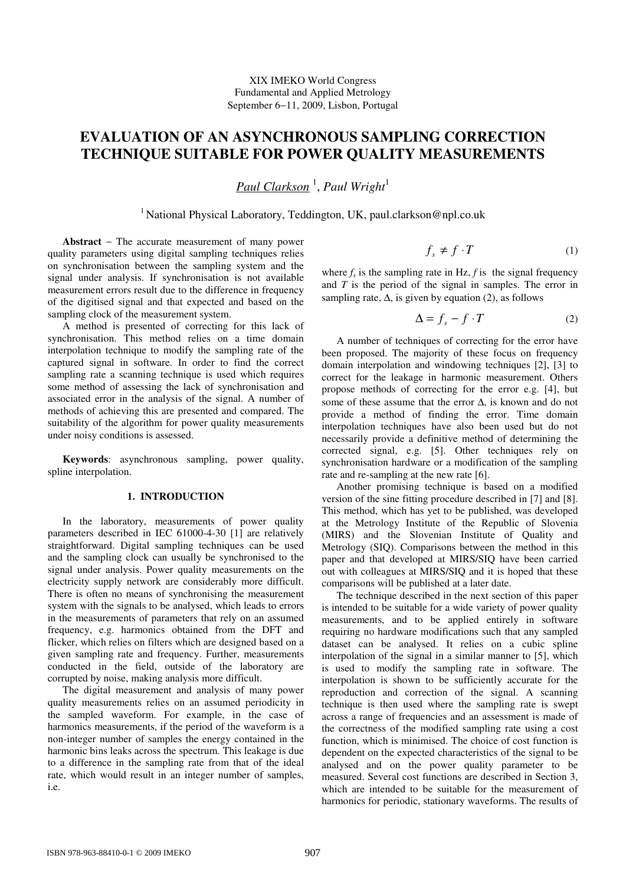# **EVALUATION OF AN ASYNCHRONOUS SAMPLING CORRECTION TECHNIQUE SUITABLE FOR POWER QUALITY MEASUREMENTS**

*Paul Clarkson* <sup>1</sup> , *Paul Wright*<sup>1</sup>

<sup>1</sup> National Physical Laboratory, Teddington, UK, paul.clarkson@npl.co.uk

**Abstract** − The accurate measurement of many power quality parameters using digital sampling techniques relies on synchronisation between the sampling system and the signal under analysis. If synchronisation is not available measurement errors result due to the difference in frequency of the digitised signal and that expected and based on the sampling clock of the measurement system.

A method is presented of correcting for this lack of synchronisation. This method relies on a time domain interpolation technique to modify the sampling rate of the captured signal in software. In order to find the correct sampling rate a scanning technique is used which requires some method of assessing the lack of synchronisation and associated error in the analysis of the signal. A number of methods of achieving this are presented and compared. The suitability of the algorithm for power quality measurements under noisy conditions is assessed.

**Keywords**: asynchronous sampling, power quality, spline interpolation.

# **1. INTRODUCTION**

In the laboratory, measurements of power quality parameters described in IEC 61000-4-30 [1] are relatively straightforward. Digital sampling techniques can be used and the sampling clock can usually be synchronised to the signal under analysis. Power quality measurements on the electricity supply network are considerably more difficult. There is often no means of synchronising the measurement system with the signals to be analysed, which leads to errors in the measurements of parameters that rely on an assumed frequency, e.g. harmonics obtained from the DFT and flicker, which relies on filters which are designed based on a given sampling rate and frequency. Further, measurements conducted in the field, outside of the laboratory are corrupted by noise, making analysis more difficult.

The digital measurement and analysis of many power quality measurements relies on an assumed periodicity in the sampled waveform. For example, in the case of harmonics measurements, if the period of the waveform is a non-integer number of samples the energy contained in the harmonic bins leaks across the spectrum. This leakage is due to a difference in the sampling rate from that of the ideal rate, which would result in an integer number of samples, i.e.

$$
f_s \neq f \cdot T \tag{1}
$$

where  $f_s$  is the sampling rate in Hz,  $f$  is the signal frequency and *T* is the period of the signal in samples. The error in sampling rate,  $\Delta$ , is given by equation (2), as follows

$$
\Delta = f_s - f \cdot T \tag{2}
$$

A number of techniques of correcting for the error have been proposed. The majority of these focus on frequency domain interpolation and windowing techniques [2], [3] to correct for the leakage in harmonic measurement. Others propose methods of correcting for the error e.g. [4], but some of these assume that the error ∆, is known and do not provide a method of finding the error. Time domain interpolation techniques have also been used but do not necessarily provide a definitive method of determining the corrected signal, e.g. [5]. Other techniques rely on synchronisation hardware or a modification of the sampling rate and re-sampling at the new rate [6].

Another promising technique is based on a modified version of the sine fitting procedure described in [7] and [8]. This method, which has yet to be published, was developed at the Metrology Institute of the Republic of Slovenia (MIRS) and the Slovenian Institute of Quality and Metrology (SIQ). Comparisons between the method in this paper and that developed at MIRS/SIQ have been carried out with colleagues at MIRS/SIQ and it is hoped that these comparisons will be published at a later date.

The technique described in the next section of this paper is intended to be suitable for a wide variety of power quality measurements, and to be applied entirely in software requiring no hardware modifications such that any sampled dataset can be analysed. It relies on a cubic spline interpolation of the signal in a similar manner to [5], which is used to modify the sampling rate in software. The interpolation is shown to be sufficiently accurate for the reproduction and correction of the signal. A scanning technique is then used where the sampling rate is swept across a range of frequencies and an assessment is made of the correctness of the modified sampling rate using a cost function, which is minimised. The choice of cost function is dependent on the expected characteristics of the signal to be analysed and on the power quality parameter to be measured. Several cost functions are described in Section 3, which are intended to be suitable for the measurement of harmonics for periodic, stationary waveforms. The results of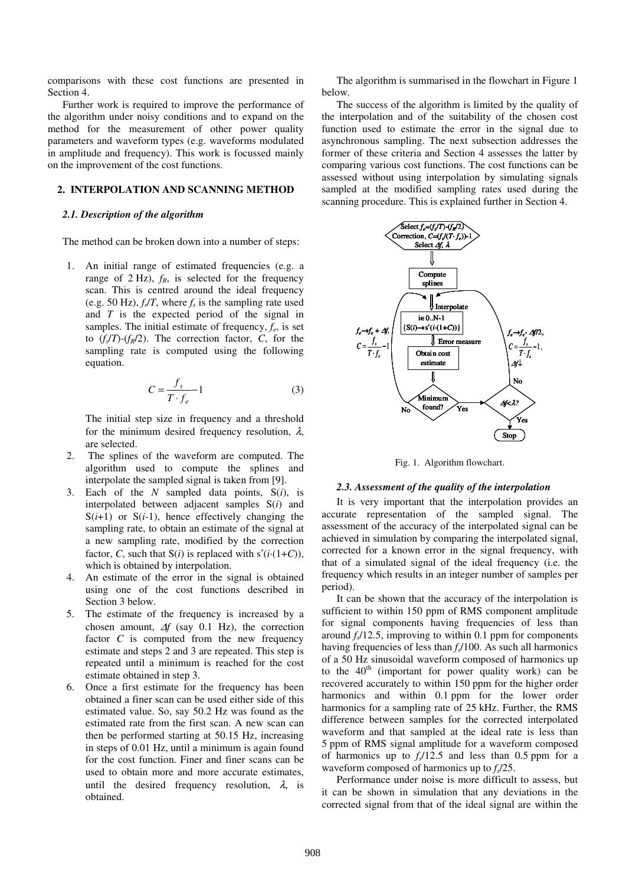comparisons with these cost functions are presented in Section 4.

Further work is required to improve the performance of the algorithm under noisy conditions and to expand on the method for the measurement of other power quality parameters and waveform types (e.g. waveforms modulated in amplitude and frequency). This work is focussed mainly on the improvement of the cost functions.

# **2. INTERPOLATION AND SCANNING METHOD**

## *2.1. Description of the algorithm*

The method can be broken down into a number of steps:

1. An initial range of estimated frequencies (e.g. a range of 2 Hz),  $f_R$ , is selected for the frequency scan. This is centred around the ideal frequency (e.g. 50 Hz),  $f_s/T$ , where  $f_s$  is the sampling rate used and *T* is the expected period of the signal in samples. The initial estimate of frequency,  $f_e$ , is set to  $(f_s/T)$ - $(f_R/2)$ . The correction factor, *C*, for the sampling rate is computed using the following equation.

$$
C = \frac{f_s}{T \cdot f_e} - 1\tag{3}
$$

The initial step size in frequency and a threshold for the minimum desired frequency resolution,  $\lambda$ , are selected.

- 2. The splines of the waveform are computed. The algorithm used to compute the splines and interpolate the sampled signal is taken from [9].
- 3. Each of the *N* sampled data points, S(*i*), is interpolated between adjacent samples S(*i*) and  $S(i+1)$  or  $S(i-1)$ , hence effectively changing the sampling rate, to obtain an estimate of the signal at a new sampling rate, modified by the correction factor, *C*, such that  $S(i)$  is replaced with  $s'(i \cdot (1+C))$ , which is obtained by interpolation.
- 4. An estimate of the error in the signal is obtained using one of the cost functions described in Section 3 below.
- 5. The estimate of the frequency is increased by a chosen amount, ∆*f* (say 0.1 Hz), the correction factor *C* is computed from the new frequency estimate and steps 2 and 3 are repeated. This step is repeated until a minimum is reached for the cost estimate obtained in step 3.
- 6. Once a first estimate for the frequency has been obtained a finer scan can be used either side of this estimated value. So, say 50.2 Hz was found as the estimated rate from the first scan. A new scan can then be performed starting at 50.15 Hz, increasing in steps of 0.01 Hz, until a minimum is again found for the cost function. Finer and finer scans can be used to obtain more and more accurate estimates, until the desired frequency resolution,  $\lambda$ , is obtained.

The algorithm is summarised in the flowchart in Figure 1 below.

The success of the algorithm is limited by the quality of the interpolation and of the suitability of the chosen cost function used to estimate the error in the signal due to asynchronous sampling. The next subsection addresses the former of these criteria and Section 4 assesses the latter by comparing various cost functions. The cost functions can be assessed without using interpolation by simulating signals sampled at the modified sampling rates used during the scanning procedure. This is explained further in Section 4.



Fig. 1. Algorithm flowchart.

## *2.3. Assessment of the quality of the interpolation*

It is very important that the interpolation provides an accurate representation of the sampled signal. The assessment of the accuracy of the interpolated signal can be achieved in simulation by comparing the interpolated signal, corrected for a known error in the signal frequency, with that of a simulated signal of the ideal frequency (i.e. the frequency which results in an integer number of samples per period).

It can be shown that the accuracy of the interpolation is sufficient to within 150 ppm of RMS component amplitude for signal components having frequencies of less than around *f<sup>s</sup>* /12.5, improving to within 0.1 ppm for components having frequencies of less than *f<sup>s</sup>* /100. As such all harmonics of a 50 Hz sinusoidal waveform composed of harmonics up to the  $40<sup>th</sup>$  (important for power quality work) can be recovered accurately to within 150 ppm for the higher order harmonics and within 0.1 ppm for the lower order harmonics for a sampling rate of 25 kHz. Further, the RMS difference between samples for the corrected interpolated waveform and that sampled at the ideal rate is less than 5 ppm of RMS signal amplitude for a waveform composed of harmonics up to  $f_s/12.5$  and less than 0.5 ppm for a waveform composed of harmonics up to *f<sup>s</sup>* /25.

Performance under noise is more difficult to assess, but it can be shown in simulation that any deviations in the corrected signal from that of the ideal signal are within the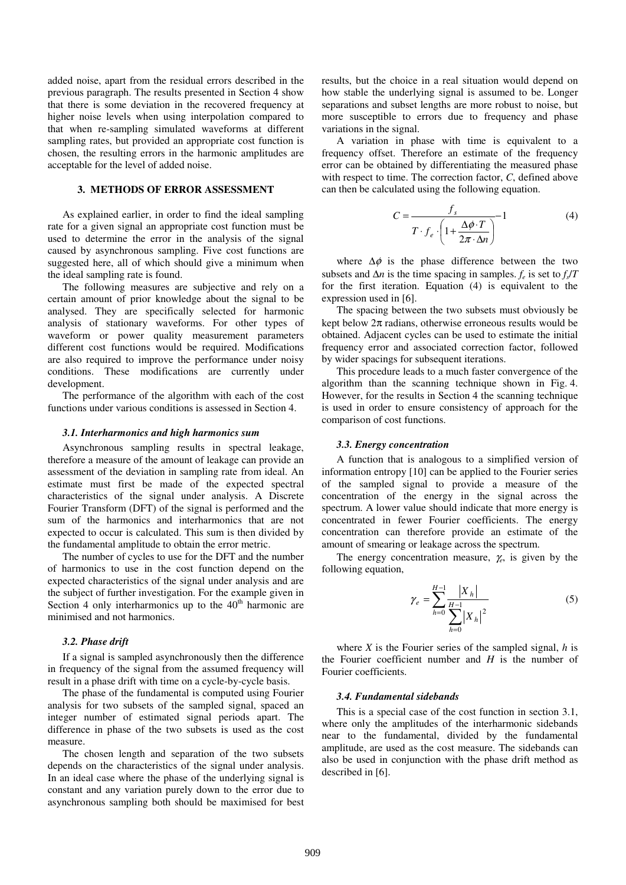added noise, apart from the residual errors described in the previous paragraph. The results presented in Section 4 show that there is some deviation in the recovered frequency at higher noise levels when using interpolation compared to that when re-sampling simulated waveforms at different sampling rates, but provided an appropriate cost function is chosen, the resulting errors in the harmonic amplitudes are acceptable for the level of added noise.

# **3. METHODS OF ERROR ASSESSMENT**

As explained earlier, in order to find the ideal sampling rate for a given signal an appropriate cost function must be used to determine the error in the analysis of the signal caused by asynchronous sampling. Five cost functions are suggested here, all of which should give a minimum when the ideal sampling rate is found.

The following measures are subjective and rely on a certain amount of prior knowledge about the signal to be analysed. They are specifically selected for harmonic analysis of stationary waveforms. For other types of waveform or power quality measurement parameters different cost functions would be required. Modifications are also required to improve the performance under noisy conditions. These modifications are currently under development.

The performance of the algorithm with each of the cost functions under various conditions is assessed in Section 4.

## *3.1. Interharmonics and high harmonics sum*

Asynchronous sampling results in spectral leakage, therefore a measure of the amount of leakage can provide an assessment of the deviation in sampling rate from ideal. An estimate must first be made of the expected spectral characteristics of the signal under analysis. A Discrete Fourier Transform (DFT) of the signal is performed and the sum of the harmonics and interharmonics that are not expected to occur is calculated. This sum is then divided by the fundamental amplitude to obtain the error metric.

The number of cycles to use for the DFT and the number of harmonics to use in the cost function depend on the expected characteristics of the signal under analysis and are the subject of further investigation. For the example given in Section 4 only interharmonics up to the  $40<sup>th</sup>$  harmonic are minimised and not harmonics.

#### *3.2. Phase drift*

If a signal is sampled asynchronously then the difference in frequency of the signal from the assumed frequency will result in a phase drift with time on a cycle-by-cycle basis.

The phase of the fundamental is computed using Fourier analysis for two subsets of the sampled signal, spaced an integer number of estimated signal periods apart. The difference in phase of the two subsets is used as the cost measure.

The chosen length and separation of the two subsets depends on the characteristics of the signal under analysis. In an ideal case where the phase of the underlying signal is constant and any variation purely down to the error due to asynchronous sampling both should be maximised for best results, but the choice in a real situation would depend on how stable the underlying signal is assumed to be. Longer separations and subset lengths are more robust to noise, but more susceptible to errors due to frequency and phase variations in the signal.

A variation in phase with time is equivalent to a frequency offset. Therefore an estimate of the frequency error can be obtained by differentiating the measured phase with respect to time. The correction factor, *C*, defined above can then be calculated using the following equation.

$$
C = \frac{f_s}{T \cdot f_e \cdot \left(1 + \frac{\Delta \phi \cdot T}{2\pi \cdot \Delta n}\right)} - 1
$$
 (4)

where  $\Delta \phi$  is the phase difference between the two subsets and  $\Delta n$  is the time spacing in samples.  $f_e$  is set to  $f_s/T$ for the first iteration. Equation (4) is equivalent to the expression used in [6].

The spacing between the two subsets must obviously be kept below  $2\pi$  radians, otherwise erroneous results would be obtained. Adjacent cycles can be used to estimate the initial frequency error and associated correction factor, followed by wider spacings for subsequent iterations.

This procedure leads to a much faster convergence of the algorithm than the scanning technique shown in Fig. 4. However, for the results in Section 4 the scanning technique is used in order to ensure consistency of approach for the comparison of cost functions.

#### *3.3. Energy concentration*

A function that is analogous to a simplified version of information entropy [10] can be applied to the Fourier series of the sampled signal to provide a measure of the concentration of the energy in the signal across the spectrum. A lower value should indicate that more energy is concentrated in fewer Fourier coefficients. The energy concentration can therefore provide an estimate of the amount of smearing or leakage across the spectrum.

The energy concentration measure,  $\gamma_e$ , is given by the following equation,

$$
\gamma_e = \sum_{h=0}^{H-1} \frac{|X_h|}{\sum_{h=0}^{H-1} |X_h|^2}
$$
 (5)

where *X* is the Fourier series of the sampled signal, *h* is the Fourier coefficient number and *H* is the number of Fourier coefficients.

## *3.4. Fundamental sidebands*

This is a special case of the cost function in section 3.1, where only the amplitudes of the interharmonic sidebands near to the fundamental, divided by the fundamental amplitude, are used as the cost measure. The sidebands can also be used in conjunction with the phase drift method as described in [6].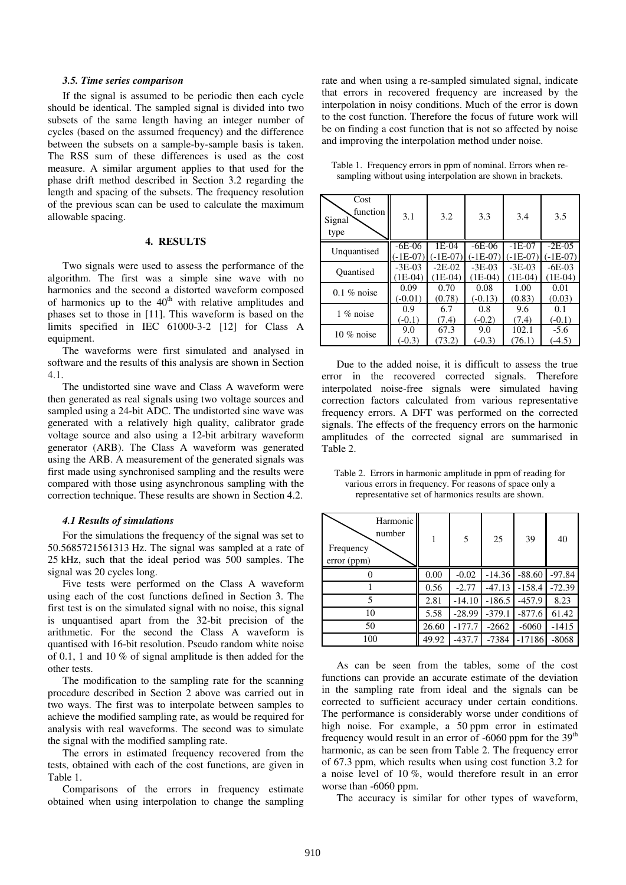#### *3.5. Time series comparison*

If the signal is assumed to be periodic then each cycle should be identical. The sampled signal is divided into two subsets of the same length having an integer number of cycles (based on the assumed frequency) and the difference between the subsets on a sample-by-sample basis is taken. The RSS sum of these differences is used as the cost measure. A similar argument applies to that used for the phase drift method described in Section 3.2 regarding the length and spacing of the subsets. The frequency resolution of the previous scan can be used to calculate the maximum allowable spacing.

## **4. RESULTS**

Two signals were used to assess the performance of the algorithm. The first was a simple sine wave with no harmonics and the second a distorted waveform composed of harmonics up to the  $40<sup>th</sup>$  with relative amplitudes and phases set to those in [11]. This waveform is based on the limits specified in IEC 61000-3-2 [12] for Class A equipment.

The waveforms were first simulated and analysed in software and the results of this analysis are shown in Section 4.1.

The undistorted sine wave and Class A waveform were then generated as real signals using two voltage sources and sampled using a 24-bit ADC. The undistorted sine wave was generated with a relatively high quality, calibrator grade voltage source and also using a 12-bit arbitrary waveform generator (ARB). The Class A waveform was generated using the ARB. A measurement of the generated signals was first made using synchronised sampling and the results were compared with those using asynchronous sampling with the correction technique. These results are shown in Section 4.2.

## *4.1 Results of simulations*

For the simulations the frequency of the signal was set to 50.5685721561313 Hz. The signal was sampled at a rate of 25 kHz, such that the ideal period was 500 samples. The signal was 20 cycles long.

Five tests were performed on the Class A waveform using each of the cost functions defined in Section 3. The first test is on the simulated signal with no noise, this signal is unquantised apart from the 32-bit precision of the arithmetic. For the second the Class A waveform is quantised with 16-bit resolution. Pseudo random white noise of 0.1, 1 and 10 % of signal amplitude is then added for the other tests.

The modification to the sampling rate for the scanning procedure described in Section 2 above was carried out in two ways. The first was to interpolate between samples to achieve the modified sampling rate, as would be required for analysis with real waveforms. The second was to simulate the signal with the modified sampling rate.

The errors in estimated frequency recovered from the tests, obtained with each of the cost functions, are given in Table 1.

Comparisons of the errors in frequency estimate obtained when using interpolation to change the sampling rate and when using a re-sampled simulated signal, indicate that errors in recovered frequency are increased by the interpolation in noisy conditions. Much of the error is down to the cost function. Therefore the focus of future work will be on finding a cost function that is not so affected by noise and improving the interpolation method under noise.

| Cost<br>function<br>Signal<br>type | 3.1      | 3.2       | 3.3       | 3.4       | 3.5       |
|------------------------------------|----------|-----------|-----------|-----------|-----------|
| Unquantised                        | $-6E-06$ | 1E-04     | $-6E-06$  | $-1E-07$  | $-2E-0.5$ |
|                                    | -1E-07   | -1E-07    | -1E-07    | -1E-07    | -1E-07)   |
| <b>Ouantised</b>                   | $-3E-03$ | $-2E-02$  | $-3E-03$  | $-3E-03$  | $-6E-03$  |
|                                    | $TE-04$  | $(1E-04)$ | $(1E-04)$ | $(1E-04)$ | (1E-04)   |
| $0.1\%$ noise                      | 0.09     | 0.70      | 0.08      | 1.00      | 0.01      |
|                                    | $-0.01)$ | (0.78)    | $(-0.13)$ | (0.83)    | (0.03)    |
| 1 % noise                          | 0.9      | 6.7       | 0.8       | 9.6       | 0.1       |
|                                    | $(-0.1)$ | (7.4)     | $-0.2$    | (7.4)     | $(-0.1)$  |
| $10\%$ noise                       | 9.0      | 67.3      | 9.0       | 102.1     | $-5.6$    |
|                                    | $-0.3$   | 73.2)     | $-0.3$    | (76.1)    | $-4.5$    |

Table 1. Frequency errors in ppm of nominal. Errors when resampling without using interpolation are shown in brackets.

Due to the added noise, it is difficult to assess the true error in the recovered corrected signals. Therefore interpolated noise-free signals were simulated having correction factors calculated from various representative frequency errors. A DFT was performed on the corrected signals. The effects of the frequency errors on the harmonic amplitudes of the corrected signal are summarised in Table 2.

Table 2. Errors in harmonic amplitude in ppm of reading for various errors in frequency. For reasons of space only a representative set of harmonics results are shown.

| Harmonic<br>number<br>Frequency<br>error (ppm) | 1     | 5        | 25       | 39       | 40       |
|------------------------------------------------|-------|----------|----------|----------|----------|
|                                                | 0.00  | $-0.02$  | $-14.36$ | $-88.60$ | $-97.84$ |
|                                                | 0.56  | $-2.77$  | $-47.13$ | $-158.4$ | $-72.39$ |
| 5                                              | 2.81  | $-14.10$ | $-186.5$ | $-457.9$ | 8.23     |
| 10                                             | 5.58  | $-28.99$ | $-379.1$ | $-877.6$ | 61.42    |
| 50                                             | 26.60 | $-177.7$ | $-2662$  | $-6060$  | $-1415$  |
| 100                                            | 49.92 | $-437.7$ | $-7384$  | $-17186$ | $-8068$  |

As can be seen from the tables, some of the cost functions can provide an accurate estimate of the deviation in the sampling rate from ideal and the signals can be corrected to sufficient accuracy under certain conditions. The performance is considerably worse under conditions of high noise. For example, a 50 ppm error in estimated frequency would result in an error of  $-6060$  ppm for the  $39<sup>th</sup>$ harmonic, as can be seen from Table 2. The frequency error of 67.3 ppm, which results when using cost function 3.2 for a noise level of 10 %, would therefore result in an error worse than -6060 ppm.

The accuracy is similar for other types of waveform,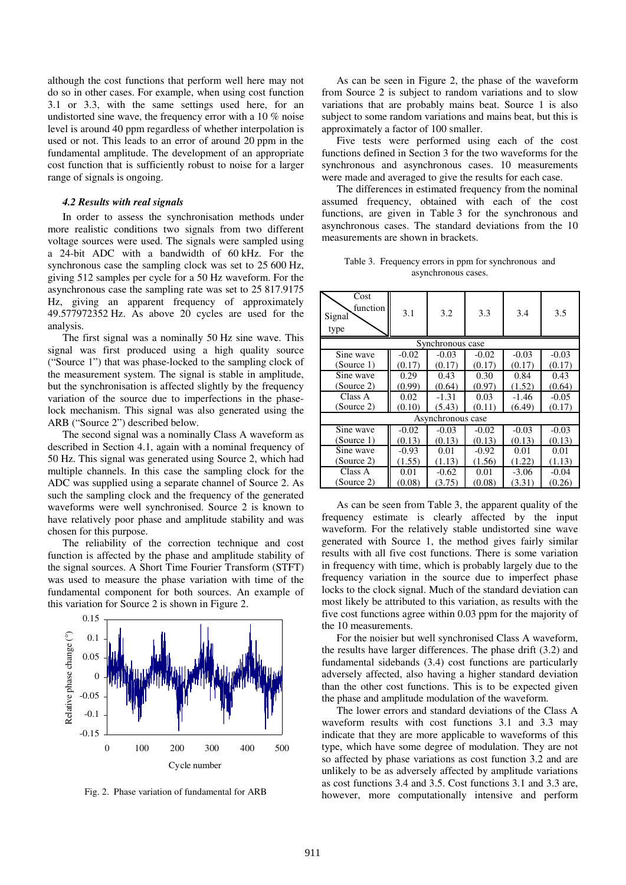although the cost functions that perform well here may not do so in other cases. For example, when using cost function 3.1 or 3.3, with the same settings used here, for an undistorted sine wave, the frequency error with a 10 % noise level is around 40 ppm regardless of whether interpolation is used or not. This leads to an error of around 20 ppm in the fundamental amplitude. The development of an appropriate cost function that is sufficiently robust to noise for a larger range of signals is ongoing.

#### *4.2 Results with real signals*

In order to assess the synchronisation methods under more realistic conditions two signals from two different voltage sources were used. The signals were sampled using a 24-bit ADC with a bandwidth of 60 kHz. For the synchronous case the sampling clock was set to 25 600 Hz, giving 512 samples per cycle for a 50 Hz waveform. For the asynchronous case the sampling rate was set to 25 817.9175 Hz, giving an apparent frequency of approximately 49.577972352 Hz. As above 20 cycles are used for the analysis.

The first signal was a nominally 50 Hz sine wave. This signal was first produced using a high quality source ("Source 1") that was phase-locked to the sampling clock of the measurement system. The signal is stable in amplitude, but the synchronisation is affected slightly by the frequency variation of the source due to imperfections in the phaselock mechanism. This signal was also generated using the ARB ("Source 2") described below.

The second signal was a nominally Class A waveform as described in Section 4.1, again with a nominal frequency of 50 Hz. This signal was generated using Source 2, which had multiple channels. In this case the sampling clock for the ADC was supplied using a separate channel of Source 2. As such the sampling clock and the frequency of the generated waveforms were well synchronised. Source 2 is known to have relatively poor phase and amplitude stability and was chosen for this purpose.

The reliability of the correction technique and cost function is affected by the phase and amplitude stability of the signal sources. A Short Time Fourier Transform (STFT) was used to measure the phase variation with time of the fundamental component for both sources. An example of this variation for Source 2 is shown in Figure 2.



Fig. 2. Phase variation of fundamental for ARB

As can be seen in Figure 2, the phase of the waveform from Source 2 is subject to random variations and to slow variations that are probably mains beat. Source 1 is also subject to some random variations and mains beat, but this is approximately a factor of 100 smaller.

Five tests were performed using each of the cost functions defined in Section 3 for the two waveforms for the synchronous and asynchronous cases. 10 measurements were made and averaged to give the results for each case.

The differences in estimated frequency from the nominal assumed frequency, obtained with each of the cost functions, are given in Table 3 for the synchronous and asynchronous cases. The standard deviations from the 10 measurements are shown in brackets.

Table 3. Frequency errors in ppm for synchronous and asynchronous cases.

| Cost<br>function<br>Signal<br>type | 3.1     | 3.2     | 3.3     | 3.4     | 3.5     |  |  |
|------------------------------------|---------|---------|---------|---------|---------|--|--|
| Synchronous case                   |         |         |         |         |         |  |  |
| Sine wave                          | $-0.02$ | $-0.03$ | $-0.02$ | $-0.03$ | $-0.03$ |  |  |
| (Source 1)                         | (0.17)  | (0.17)  | (0.17)  | (0.17)  | (0.17)  |  |  |
| Sine wave                          | 0.29    | 0.43    | 0.30    | 0.84    | 0.43    |  |  |
| (Source 2)                         | (0.99)  | (0.64)  | (0.97)  | (1.52)  | (0.64)  |  |  |
| Class A                            | 0.02    | $-1.31$ | 0.03    | $-1.46$ | $-0.05$ |  |  |
| (Source 2)                         | (0.10)  | (5.43)  | (0.11)  | (6.49)  | (0.17)  |  |  |
| Asynchronous case                  |         |         |         |         |         |  |  |
| Sine wave                          | $-0.02$ | $-0.03$ | $-0.02$ | $-0.03$ | $-0.03$ |  |  |
| (Source 1)                         | (0.13)  | (0.13)  | (0.13)  | (0.13)  | (0.13)  |  |  |
| Sine wave                          | $-0.93$ | 0.01    | $-0.92$ | 0.01    | 0.01    |  |  |
| (Source 2)                         | (1.55)  | (1.13)  | (1.56)  | (1.22)  | (1.13)  |  |  |
| Class A                            | 0.01    | $-0.62$ | 0.01    | $-3.06$ | $-0.04$ |  |  |
| (Source 2)                         | (0.08)  | (3.75)  | (0.08)  | (3.31)  | (0.26)  |  |  |

As can be seen from Table 3, the apparent quality of the frequency estimate is clearly affected by the input waveform. For the relatively stable undistorted sine wave generated with Source 1, the method gives fairly similar results with all five cost functions. There is some variation in frequency with time, which is probably largely due to the frequency variation in the source due to imperfect phase locks to the clock signal. Much of the standard deviation can most likely be attributed to this variation, as results with the five cost functions agree within 0.03 ppm for the majority of the 10 measurements.

For the noisier but well synchronised Class A waveform, the results have larger differences. The phase drift (3.2) and fundamental sidebands (3.4) cost functions are particularly adversely affected, also having a higher standard deviation than the other cost functions. This is to be expected given the phase and amplitude modulation of the waveform.

The lower errors and standard deviations of the Class A waveform results with cost functions 3.1 and 3.3 may indicate that they are more applicable to waveforms of this type, which have some degree of modulation. They are not so affected by phase variations as cost function 3.2 and are unlikely to be as adversely affected by amplitude variations as cost functions 3.4 and 3.5. Cost functions 3.1 and 3.3 are, however, more computationally intensive and perform